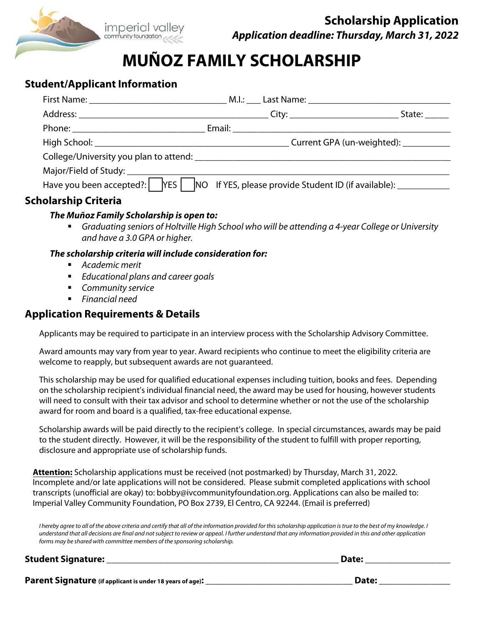

# **MUÑOZ FAMILY SCHOLARSHIP**

## **Student/Applicant Information**

|                             |                                                                                                     | State:                                 |
|-----------------------------|-----------------------------------------------------------------------------------------------------|----------------------------------------|
|                             |                                                                                                     |                                        |
|                             |                                                                                                     | Current GPA (un-weighted): ___________ |
|                             |                                                                                                     |                                        |
|                             |                                                                                                     |                                        |
|                             | Have you been accepted?:   YES   NO If YES, please provide Student ID (if available): _____________ |                                        |
| <b>Scholarship Criteria</b> |                                                                                                     |                                        |

## **The Muñoz Family Scholarship is open to:**

 Graduating seniors of Holtville High School who will be attending a 4-year College or University and have a 3.0 GPA or higher.

## **The scholarship criteria will include consideration for:**

- Academic merit
- Educational plans and career goals
- **Community service**
- **Financial need**

## **Application Requirements & Details**

Applicants may be required to participate in an interview process with the Scholarship Advisory Committee.

Award amounts may vary from year to year. Award recipients who continue to meet the eligibility criteria are welcome to reapply, but subsequent awards are not guaranteed.

This scholarship may be used for qualified educational expenses including tuition, books and fees. Depending on the scholarship recipient's individual financial need, the award may be used for housing, however students will need to consult with their tax advisor and school to determine whether or not the use of the scholarship award for room and board is a qualified, tax-free educational expense.

Scholarship awards will be paid directly to the recipient's college. In special circumstances, awards may be paid to the student directly. However, it will be the responsibility of the student to fulfill with proper reporting, disclosure and appropriate use of scholarship funds.

**Attention:** Scholarship applications must be received (not postmarked) by Thursday, March 31, 2022. Incomplete and/or late applications will not be considered. Please submit completed applications with school transcripts (unofficial are okay) to: bobby@ivcommunityfoundation.org. Applications can also be mailed to: Imperial Valley Community Foundation, PO Box 2739, El Centro, CA 92244. (Email is preferred)

I hereby agree to all of the above criteria and certify that all of the information provided for this scholarship application is true to the best of my knowledge. I understand that all decisions are final and not subject to review or appeal. I further understand that any information provided in this and other application forms may be shared with committee members of the sponsoring scholarship.

#### **Student Signature: \_\_\_\_\_\_\_\_\_\_\_\_\_\_\_\_\_\_\_\_\_\_\_\_\_\_\_\_\_\_\_\_\_\_\_\_\_\_\_\_\_\_\_\_\_\_\_\_\_ Date: \_\_\_\_\_\_\_\_\_\_\_\_\_\_\_\_\_\_**

**Parent Signature (if applicant is under 18 years of age): \_\_\_\_\_\_\_\_\_\_\_\_\_\_\_\_\_\_\_\_\_\_\_\_\_\_\_\_\_\_\_ Date: \_\_\_\_\_\_\_\_\_\_\_\_\_\_\_**